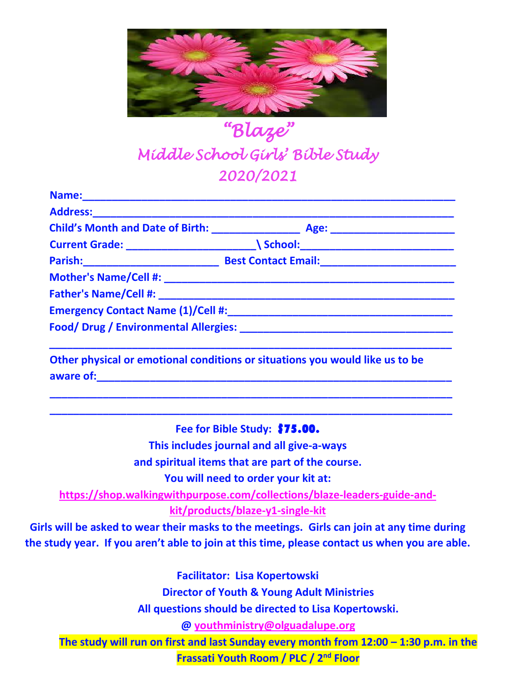

## *"Blaze" Middle School Girls' Bible Study 2020/2021*

| Address: Andreas Address: |                                                                                                                |  |
|---------------------------|----------------------------------------------------------------------------------------------------------------|--|
|                           |                                                                                                                |  |
|                           |                                                                                                                |  |
|                           | Parish: Best Contact Email: Base of Contact Email: Contact Email: Contact Email: Contact Email: Contact Email: |  |
|                           |                                                                                                                |  |
|                           |                                                                                                                |  |
|                           | Emergency Contact Name (1)/Cell #:                                                                             |  |
|                           |                                                                                                                |  |

**Other physical or emotional conditions or situations you would like us to be**  aware of: which is a set of the set of the set of the set of the set of the set of the set of the set of the set of the set of the set of the set of the set of the set of the set of the set of the set of the set of the set

**Fee for Bible Study:** \$75.00.

**\_\_\_\_\_\_\_\_\_\_\_\_\_\_\_\_\_\_\_\_\_\_\_\_\_\_\_\_\_\_\_\_\_\_\_\_\_\_\_\_\_\_\_\_\_\_\_\_\_\_\_\_\_\_\_\_\_\_\_\_\_\_\_\_\_\_\_\_ \_\_\_\_\_\_\_\_\_\_\_\_\_\_\_\_\_\_\_\_\_\_\_\_\_\_\_\_\_\_\_\_\_\_\_\_\_\_\_\_\_\_\_\_\_\_\_\_\_\_\_\_\_\_\_\_\_\_\_\_\_\_\_\_\_\_\_\_**

**This includes journal and all give-a-ways**

**and spiritual items that are part of the course.**

**You will need to order your kit at:** 

**[https://shop.walkingwithpurpose.com/collections/blaze-leaders-guide-and-](https://shop.walkingwithpurpose.com/collections/blaze-leaders-guide-and-kit/products/blaze-y1-single-kit)**

**[kit/products/blaze-y1-single-kit](https://shop.walkingwithpurpose.com/collections/blaze-leaders-guide-and-kit/products/blaze-y1-single-kit)**

**Girls will be asked to wear their masks to the meetings. Girls can join at any time during the study year. If you aren't able to join at this time, please contact us when you are able.** 

**Facilitator: Lisa Kopertowski**

**Director of Youth & Young Adult Ministries**

**All questions should be directed to Lisa Kopertowski.**

**@ [youthministry@olguadalupe.org](mailto:youthministry@olguadalupe.org)**

**The study will run on first and last Sunday every month from 12:00 – 1:30 p.m. in the** 

**Frassati Youth Room / PLC / 2nd Floor**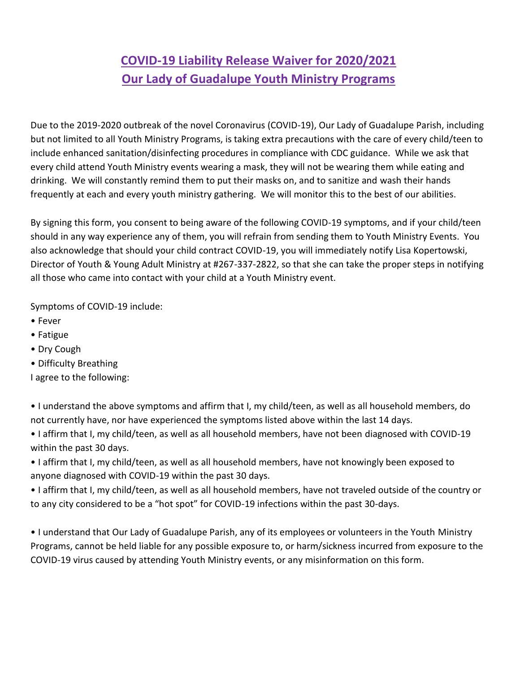## **COVID-19 Liability Release Waiver for 2020/2021 Our Lady of Guadalupe Youth Ministry Programs**

Due to the 2019-2020 outbreak of the novel Coronavirus (COVID-19), Our Lady of Guadalupe Parish, including but not limited to all Youth Ministry Programs, is taking extra precautions with the care of every child/teen to include enhanced sanitation/disinfecting procedures in compliance with CDC guidance. While we ask that every child attend Youth Ministry events wearing a mask, they will not be wearing them while eating and drinking. We will constantly remind them to put their masks on, and to sanitize and wash their hands frequently at each and every youth ministry gathering. We will monitor this to the best of our abilities.

By signing this form, you consent to being aware of the following COVID-19 symptoms, and if your child/teen should in any way experience any of them, you will refrain from sending them to Youth Ministry Events. You also acknowledge that should your child contract COVID-19, you will immediately notify Lisa Kopertowski, Director of Youth & Young Adult Ministry at #267-337-2822, so that she can take the proper steps in notifying all those who came into contact with your child at a Youth Ministry event.

Symptoms of COVID-19 include:

- Fever
- Fatigue
- Dry Cough
- Difficulty Breathing

I agree to the following:

- I understand the above symptoms and affirm that I, my child/teen, as well as all household members, do not currently have, nor have experienced the symptoms listed above within the last 14 days.
- I affirm that I, my child/teen, as well as all household members, have not been diagnosed with COVID-19 within the past 30 days.
- I affirm that I, my child/teen, as well as all household members, have not knowingly been exposed to anyone diagnosed with COVID-19 within the past 30 days.
- I affirm that I, my child/teen, as well as all household members, have not traveled outside of the country or to any city considered to be a "hot spot" for COVID-19 infections within the past 30-days.

• I understand that Our Lady of Guadalupe Parish, any of its employees or volunteers in the Youth Ministry Programs, cannot be held liable for any possible exposure to, or harm/sickness incurred from exposure to the COVID-19 virus caused by attending Youth Ministry events, or any misinformation on this form.